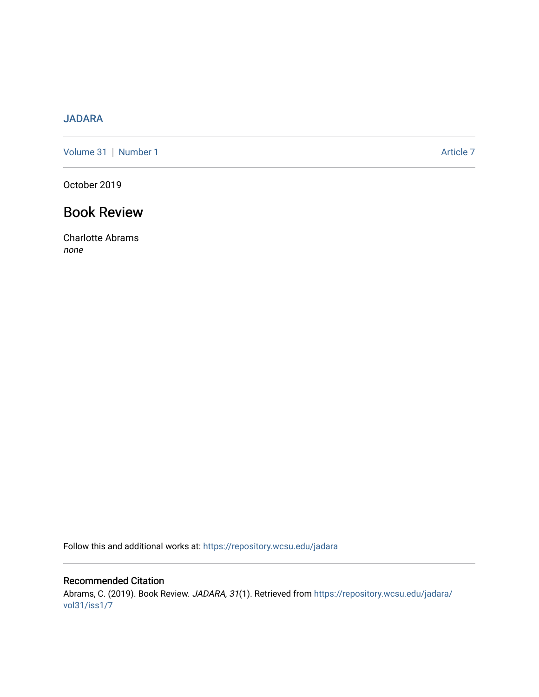## [JADARA](https://repository.wcsu.edu/jadara)

[Volume 31](https://repository.wcsu.edu/jadara/vol31) | [Number 1](https://repository.wcsu.edu/jadara/vol31/iss1) Article 7

October 2019

## Book Review

Charlotte Abrams none

Follow this and additional works at: [https://repository.wcsu.edu/jadara](https://repository.wcsu.edu/jadara?utm_source=repository.wcsu.edu%2Fjadara%2Fvol31%2Fiss1%2F7&utm_medium=PDF&utm_campaign=PDFCoverPages)

## Recommended Citation

Abrams, C. (2019). Book Review. JADARA, 31(1). Retrieved from [https://repository.wcsu.edu/jadara/](https://repository.wcsu.edu/jadara/vol31/iss1/7?utm_source=repository.wcsu.edu%2Fjadara%2Fvol31%2Fiss1%2F7&utm_medium=PDF&utm_campaign=PDFCoverPages) [vol31/iss1/7](https://repository.wcsu.edu/jadara/vol31/iss1/7?utm_source=repository.wcsu.edu%2Fjadara%2Fvol31%2Fiss1%2F7&utm_medium=PDF&utm_campaign=PDFCoverPages)